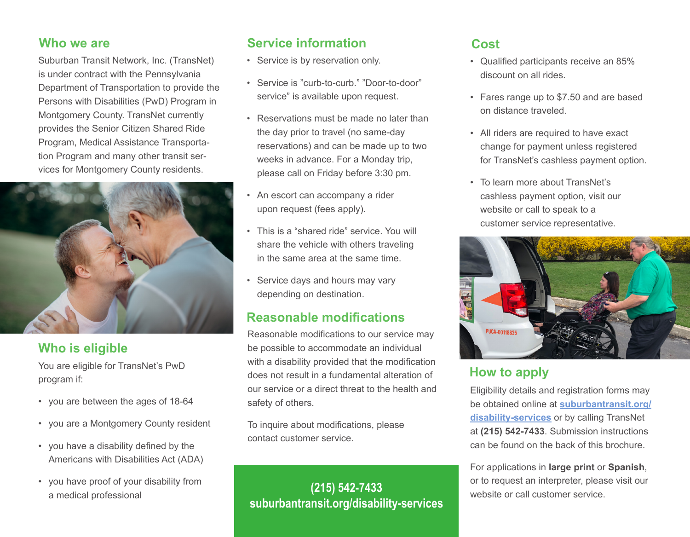#### **Who we are**

Suburban Transit Network, Inc. (TransNet) is under contract with the Pennsylvania Department of Transportation to provide the Persons with Disabilities (PwD) Program in Montgomery County. TransNet currently provides the Senior Citizen Shared Ride Program, Medical Assistance Transportation Program and many other transit services for Montgomery County residents.



# **Who is eligible**

You are eligible for TransNet's PwD program if:

- you are between the ages of 18-64
- you are a Montgomery County resident
- you have a disability defined by the Americans with Disabilities Act (ADA)
- you have proof of your disability from a medical professional

#### **Service information**

- Service is by reservation only.
- Service is "curb-to-curb." "Door-to-door" service" is available upon request.
- Reservations must be made no later than the day prior to travel (no same-day reservations) and can be made up to two weeks in advance. For a Monday trip, please call on Friday before 3:30 pm.
- An escort can accompany a rider upon request (fees apply).
- This is a "shared ride" service. You will share the vehicle with others traveling in the same area at the same time.
- Service days and hours may vary depending on destination.

#### **Reasonable modifications**

Reasonable modifications to our service may be possible to accommodate an individual with a disability provided that the modification does not result in a fundamental alteration of our service or a direct threat to the health and safety of others.

To inquire about modifications, please contact customer service.

# **(215) 542-7433 suburbantransit.org/disability-services**

#### **Cost**

- Qualified participants receive an 85% discount on all rides.
- Fares range up to \$7.50 and are based on distance traveled.
- All riders are required to have exact change for payment unless registered for TransNet's cashless payment option.
- To learn more about TransNet's cashless payment option, visit our website or call to speak to a customer service representative.



# **How to apply**

Eligibility details and registration forms may be obtained online at **suburbantransit.org/ disability-services** or by calling TransNet at **(215) 542-7433**. Submission instructions can be found on the back of this brochure.

For applications in **large print** or **Spanish**, or to request an interpreter, please visit our website or call customer service.